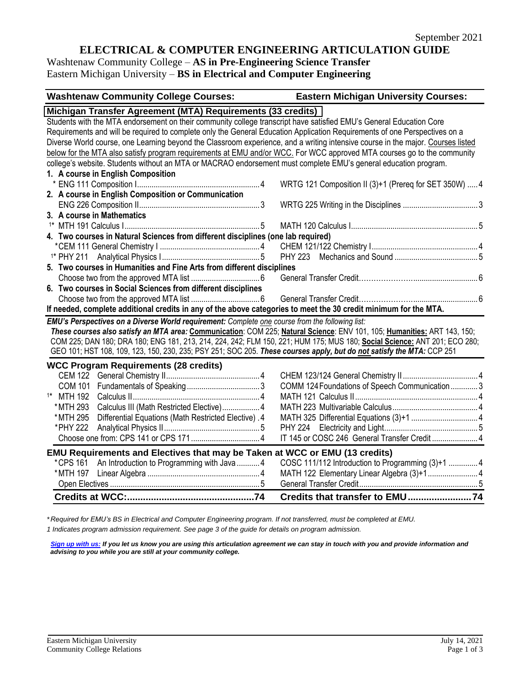# **ELECTRICAL & COMPUTER ENGINEERING ARTICULATION GUIDE**

Washtenaw Community College – **AS in Pre-Engineering Science Transfer** Eastern Michigan University – **BS in Electrical and Computer Engineering**

| <b>Washtenaw Community College Courses:</b>                                                                                     | <b>Eastern Michigan University Courses:</b>            |
|---------------------------------------------------------------------------------------------------------------------------------|--------------------------------------------------------|
| Michigan Transfer Agreement (MTA) Requirements (33 credits)                                                                     |                                                        |
| Students with the MTA endorsement on their community college transcript have satisfied EMU's General Education Core             |                                                        |
| Requirements and will be required to complete only the General Education Application Requirements of one Perspectives on a      |                                                        |
| Diverse World course, one Learning beyond the Classroom experience, and a writing intensive course in the major. Courses listed |                                                        |
| below for the MTA also satisfy program requirements at EMU and/or WCC. For WCC approved MTA courses go to the community         |                                                        |
| college's website. Students without an MTA or MACRAO endorsement must complete EMU's general education program.                 |                                                        |
| 1. A course in English Composition                                                                                              |                                                        |
|                                                                                                                                 | WRTG 121 Composition II (3)+1 (Prereq for SET 350W)  4 |
| 2. A course in English Composition or Communication                                                                             |                                                        |
|                                                                                                                                 |                                                        |
| 3. A course in Mathematics                                                                                                      |                                                        |
|                                                                                                                                 |                                                        |
| 4. Two courses in Natural Sciences from different disciplines (one lab required)                                                |                                                        |
|                                                                                                                                 |                                                        |
|                                                                                                                                 |                                                        |
| 5. Two courses in Humanities and Fine Arts from different disciplines                                                           |                                                        |
|                                                                                                                                 |                                                        |
| 6. Two courses in Social Sciences from different disciplines                                                                    |                                                        |
|                                                                                                                                 |                                                        |
| If needed, complete additional credits in any of the above categories to meet the 30 credit minimum for the MTA.                |                                                        |
| EMU's Perspectives on a Diverse World requirement: Complete one course from the following list:                                 |                                                        |
| These courses also satisfy an MTA area: Communication: COM 225; Natural Science: ENV 101, 105; Humanities: ART 143, 150;        |                                                        |
| COM 225; DAN 180; DRA 180; ENG 181, 213, 214, 224, 242; FLM 150, 221; HUM 175; MUS 180; Social Science: ANT 201; ECO 280;       |                                                        |
| GEO 101; HST 108, 109, 123, 150, 230, 235; PSY 251; SOC 205. These courses apply, but do not satisfy the MTA: CCP 251           |                                                        |
| <b>WCC Program Requirements (28 credits)</b>                                                                                    |                                                        |
|                                                                                                                                 |                                                        |
|                                                                                                                                 | COMM 124 Foundations of Speech Communication3          |
| <sup>1*</sup> MTH 192                                                                                                           |                                                        |
| *MTH 293<br>Calculus III (Math Restricted Elective) 4                                                                           |                                                        |
| *MTH 295<br>Differential Equations (Math Restricted Elective). 4                                                                |                                                        |
| *PHY 222                                                                                                                        |                                                        |
|                                                                                                                                 | IT 145 or COSC 246 General Transfer Credit  4          |
| <b>EMU Requirements and Electives that may be Taken at WCC or EMU (13 credits)</b>                                              |                                                        |
| An Introduction to Programming with Java4<br>*CPS 161                                                                           | COSC 111/112 Introduction to Programming (3)+1  4      |
|                                                                                                                                 | MATH 122 Elementary Linear Algebra (3)+1 4             |
|                                                                                                                                 |                                                        |
|                                                                                                                                 | Credits that transfer to EMU74                         |

*\* Required for EMU's BS in Electrical and Computer Engineering program. If not transferred, must be completed at EMU.*

*1 Indicates program admission requirement. See page 3 of the guide for details on program admission.*

*[Sign up with us:](https://www.emich.edu/ccr/articulation-agreements/signup.php) If you let us know you are using this articulation agreement we can stay in touch with you and provide information and advising to you while you are still at your community college.*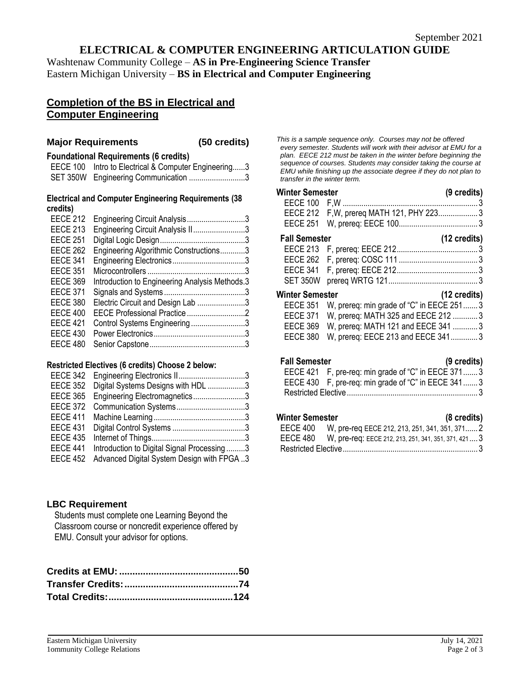# **ELECTRICAL & COMPUTER ENGINEERING ARTICULATION GUIDE**

Washtenaw Community College – **AS in Pre-Engineering Science Transfer** Eastern Michigan University – **BS in Electrical and Computer Engineering**

# **Completion of the BS in Electrical and Computer Engineering**

#### **Major Requirements (50 credits)**

#### **Foundational Requirements (6 credits)**

| EECE 100 Intro to Electrical & Computer Engineering3 |
|------------------------------------------------------|
| SET 350W Engineering Communication 3                 |

#### **Electrical and Computer Engineering Requirements (38 credits)**

| <b>EECE 212</b> | Engineering Circuit Analysis3                  |  |
|-----------------|------------------------------------------------|--|
| <b>EECE 213</b> | Engineering Circuit Analysis II3               |  |
| <b>EECE 251</b> |                                                |  |
| <b>EECE 262</b> | Engineering Algorithmic Constructions3         |  |
| <b>EECE 341</b> |                                                |  |
| <b>EECE 351</b> |                                                |  |
| <b>EECE 369</b> | Introduction to Engineering Analysis Methods.3 |  |
| <b>EECE 371</b> |                                                |  |
| <b>EECE 380</b> | Electric Circuit and Design Lab 3              |  |
| <b>EECE 400</b> | EECE Professional Practice 2                   |  |
| <b>EECE 421</b> | Control Systems Engineering3                   |  |
| <b>EECE 430</b> |                                                |  |
| <b>EECE 480</b> |                                                |  |
|                 |                                                |  |

#### **Restricted Electives (6 credits) Choose 2 below:**

| EECE 342        | Engineering Electronics II3                |  |
|-----------------|--------------------------------------------|--|
| <b>EECE 352</b> | Digital Systems Designs with HDL 3         |  |
| <b>EECE 365</b> | Engineering Electromagnetics3              |  |
| <b>EECE 372</b> |                                            |  |
| <b>EECE 411</b> |                                            |  |
| <b>EECE 431</b> |                                            |  |
| <b>EECE 435</b> |                                            |  |
| <b>EECE 441</b> | Introduction to Digital Signal Processing3 |  |
| <b>EECE 452</b> | Advanced Digital System Design with FPGA 3 |  |

## **LBC Requirement**

Students must complete one Learning Beyond the Classroom course or noncredit experience offered by EMU. Consult your advisor for options.

*This is a sample sequence only. Courses may not be offered every semester. Students will work with their advisor at EMU for a plan. EECE 212 must be taken in the winter before beginning the sequence of courses. Students may consider taking the course at EMU while finishing up the associate degree if they do not plan to transfer in the winter term.* 

# **Winter Semester (9 credits)** EECE 100 F,W ................................................................. 3 EECE 212 F,W, prereq MATH 121, PHY 223................... 3 EECE 251 W, prereq: EECE 100...................................... 3 **Fall Semester (12 credits)** EECE 213 F, prereq: EECE 212....................................... 3 EECE 262 F, prereq: COSC 111 ...................................... 3 EECE 341 F, prereq: EECE 212....................................... 3 SET 350W prereq WRTG 121........................................... 3 **Winter Semester (12 credits)** EECE 351 W, prereq: min grade of "C" in EECE 251....... 3  $\cdot$  MATH 325 and EECE 212

| EEUE 371 W, prefeq: MATH 325 and EEUE 212 3 |
|---------------------------------------------|
| EECE 369 W, prereq: MATH 121 and EECE 341 3 |
| EECE 380 W, prereq: EECE 213 and EECE 3413  |

## **Fall Semester (9 credits)**

|                                                    | . |
|----------------------------------------------------|---|
| EECE 421 F, pre-req: min grade of "C" in EECE 3713 |   |
| EECE 430 F, pre-req: min grade of "C" in EECE 3413 |   |
|                                                    |   |

## **Winter Semester (8 credits)**

| . |                                                               | $\sim$ $\sim$ $\sim$ $\sim$ $\sim$ $\sim$ $\sim$ |  |
|---|---------------------------------------------------------------|--------------------------------------------------|--|
|   | EECE 400 W, pre-req EECE 212, 213, 251, 341, 351, 371 2       |                                                  |  |
|   | EECE 480 W, pre-req: EECE 212, 213, 251, 341, 351, 371, 421 3 |                                                  |  |
|   |                                                               |                                                  |  |